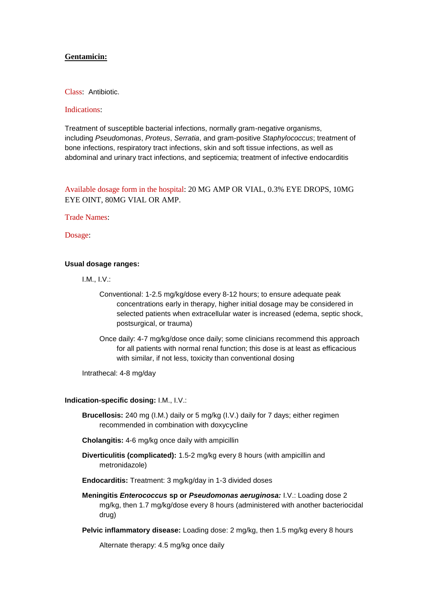### **Gentamicin:**

Class: Antibiotic.

#### Indications:

Treatment of susceptible bacterial infections, normally gram-negative organisms, including *Pseudomonas*, *Proteus*, *Serratia*, and gram-positive *Staphylococcus*; treatment of bone infections, respiratory tract infections, skin and soft tissue infections, as well as abdominal and urinary tract infections, and septicemia; treatment of infective endocarditis

## Available dosage form in the hospital: 20 MG AMP OR VIAL, 0.3% EYE DROPS, 10MG EYE OINT, 80MG VIAL OR AMP.

Trade Names:

Dosage:

### **Usual dosage ranges:**

I.M., I.V.:

- Conventional: 1-2.5 mg/kg/dose every 8-12 hours; to ensure adequate peak concentrations early in therapy, higher initial dosage may be considered in selected patients when extracellular water is increased (edema, septic shock, postsurgical, or trauma)
- Once daily: 4-7 mg/kg/dose once daily; some clinicians recommend this approach for all patients with normal renal function; this dose is at least as efficacious with similar, if not less, toxicity than conventional dosing

Intrathecal: 4-8 mg/day

#### **Indication-specific dosing:** I.M., I.V.:

- **Brucellosis:** 240 mg (I.M.) daily or 5 mg/kg (I.V.) daily for 7 days; either regimen recommended in combination with doxycycline
- **Cholangitis:** 4-6 mg/kg once daily with ampicillin
- **Diverticulitis (complicated):** 1.5-2 mg/kg every 8 hours (with ampicillin and metronidazole)
- **Endocarditis:** Treatment: 3 mg/kg/day in 1-3 divided doses
- **Meningitis** *Enterococcus* **sp or** *Pseudomonas aeruginosa:* I.V.: Loading dose 2 mg/kg, then 1.7 mg/kg/dose every 8 hours (administered with another bacteriocidal drug)
- **Pelvic inflammatory disease:** Loading dose: 2 mg/kg, then 1.5 mg/kg every 8 hours

Alternate therapy: 4.5 mg/kg once daily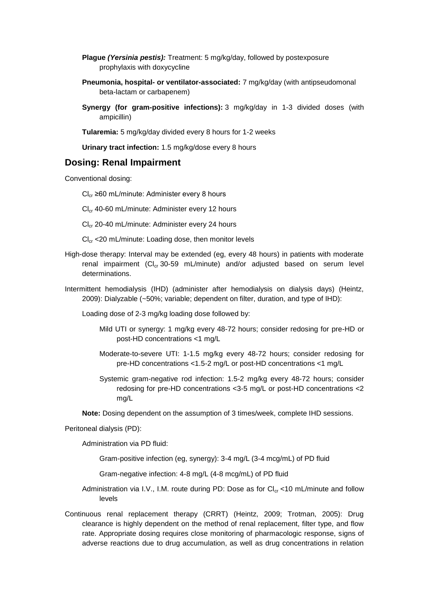- **Plague** *(Yersinia pestis):* Treatment: 5 mg/kg/day, followed by postexposure prophylaxis with doxycycline
- **Pneumonia, hospital- or ventilator-associated:** 7 mg/kg/day (with antipseudomonal beta-lactam or carbapenem)
- **Synergy (for gram-positive infections):** 3 mg/kg/day in 1-3 divided doses (with ampicillin)

**Tularemia:** 5 mg/kg/day divided every 8 hours for 1-2 weeks

**Urinary tract infection:** 1.5 mg/kg/dose every 8 hours

# **Dosing: Renal Impairment**

Conventional dosing:

 $Cl<sub>cr</sub> ≥ 60$  mL/minute: Administer every 8 hours

 $Cl<sub>cr</sub>$  40-60 mL/minute: Administer every 12 hours

 $Cl<sub>cr</sub>$  20-40 mL/minute: Administer every 24 hours

 $Cl<sub>cr</sub> < 20$  mL/minute: Loading dose, then monitor levels

- High-dose therapy: Interval may be extended (eg, every 48 hours) in patients with moderate renal impairment  $(Cl_{cr} 30-59$  mL/minute) and/or adjusted based on serum level determinations.
- Intermittent hemodialysis (IHD) (administer after hemodialysis on dialysis days) (Heintz, 2009): Dialyzable (~50%; variable; dependent on filter, duration, and type of IHD):

Loading dose of 2-3 mg/kg loading dose followed by:

- Mild UTI or synergy: 1 mg/kg every 48-72 hours; consider redosing for pre-HD or post-HD concentrations <1 mg/L
- Moderate-to-severe UTI: 1-1.5 mg/kg every 48-72 hours; consider redosing for pre-HD concentrations <1.5-2 mg/L or post-HD concentrations <1 mg/L
- Systemic gram-negative rod infection: 1.5-2 mg/kg every 48-72 hours; consider redosing for pre-HD concentrations <3-5 mg/L or post-HD concentrations <2 mg/L

**Note:** Dosing dependent on the assumption of 3 times/week, complete IHD sessions.

Peritoneal dialysis (PD):

Administration via PD fluid:

Gram-positive infection (eg, synergy): 3-4 mg/L (3-4 mcg/mL) of PD fluid

Gram-negative infection: 4-8 mg/L (4-8 mcg/mL) of PD fluid

- Administration via I.V., I.M. route during PD: Dose as for  $Cl_{cr}$  <10 mL/minute and follow levels
- Continuous renal replacement therapy (CRRT) (Heintz, 2009; Trotman, 2005): Drug clearance is highly dependent on the method of renal replacement, filter type, and flow rate. Appropriate dosing requires close monitoring of pharmacologic response, signs of adverse reactions due to drug accumulation, as well as drug concentrations in relation